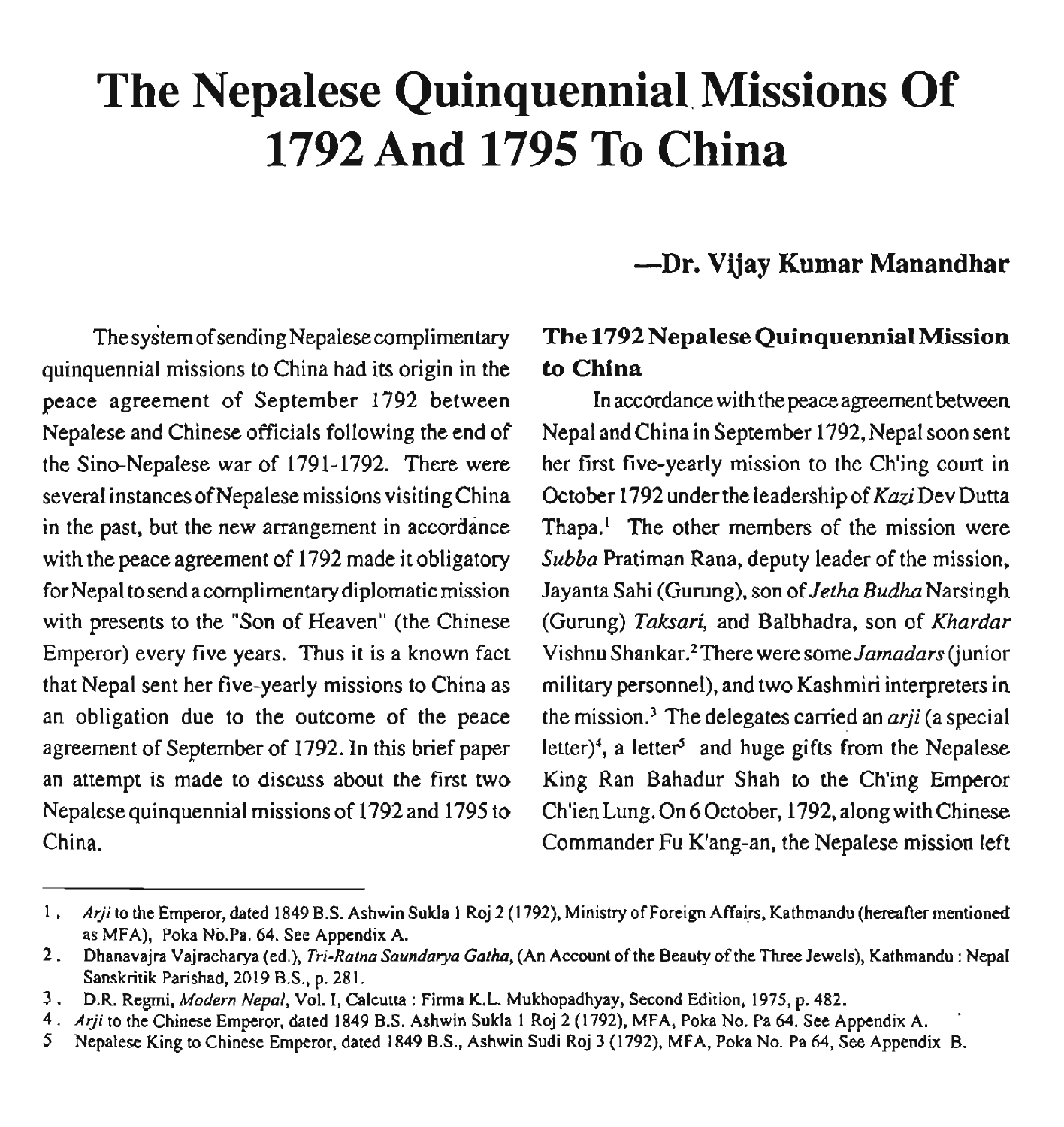# **The Nepalese Quinquennial. Missions Of 1792 And 1795 To China**

### **-Dr. Vijay Kumar Manandhar**

quinquennial missions to China had its origin in the **to China**  peace agreement of September 1792 between In accordance with the peace agreement between Nepalese and Chinese officials following the end of Nepal and China in September 1792, Nepal soon sent the Sino-Nepalese war of 1791-1792. There were her first five-yearly mission to the Ch'ing court in several instances of Nepalese missions visiting China Coctober 1792 under the leadership of KaziDev Dutta in the past, but the new arrangement in accordance Thapa.' The other members of the mission were with the peace agreement of 1792 made it obligatory Subba Pratiman Rana, deputy leader of the mission, for Nepal to send a complimentary diplomatic mission Jayanta Sahi (Gurung), son of Jetha Budha Narsingh with presents to the "Son of Heaven" (the Chinese (Gurung) Taksari, and Balbhadra, son of Khardar Emperor) every five years. Thus it is a known fact Vishnu Shankar.<sup>2</sup>There were some Jamadars (junior that Nepal sent her five-yearly missions to China as military personnel), and two Kashmiri interpreters in an obligation due to the outcome of the peace the mission.<sup>3</sup> The delegates carried an *arji* (a special agreement of September of 1792. In this brief paper letter)<sup>4</sup>, a letter<sup>5</sup> and huge gifts from the Nepalese an attempt is made to discuss about the first two King Ran Bahadur Shah to the Ch'ing Emperor Nepalese quinquennial missions of 1792 and 1795 to Ch'ien Lung. On 6 October, 1792, along with Chinese China. Commander Fu K'ang-an, the Nepalese mission left

# The system of sending Nepalese complimentary **The 1792 Nepalese Quinquennial Mission**

<sup>1</sup>. **Arji** to the Emperor, dated 1849 B.S. Ashwin Sukla I Roj 2 (1 792), Ministry of Foreign Affairs, Kathmandu (hereafter mentioned as MFA), Poka No.Pa. 64. See Appendix A.

<sup>2</sup>. Dhanavajra Vajracharya (ed.), *Tri-Ratna Saundaya Gatha,* (An Account of the Beauty of the Three Jewels), Kathmandu : Nepal Sanskritik Parishad, 2019 **B.S.,** p. 281.

**<sup>3.</sup>** D.R. Regmi, *Modern Nepal,* Vol. *I,* Calcutta : Firma K.L. Mukhopadhyay, Second Edition, 1975, p. 482.

<sup>4.</sup> **Arji** to the Chinese Emperor, dated 1849 B.S. Ashwin Sukla 1 Roj 2 (1792), MFA, Poka No. Pa 64. See Appendix A. '

**<sup>5</sup>** Nepalese King to Chinese Emperor, dated 1849 B.S., Ashwin Sudi Roj 3 (1792). MFA, Poka No. Pa 64, See Appendix B.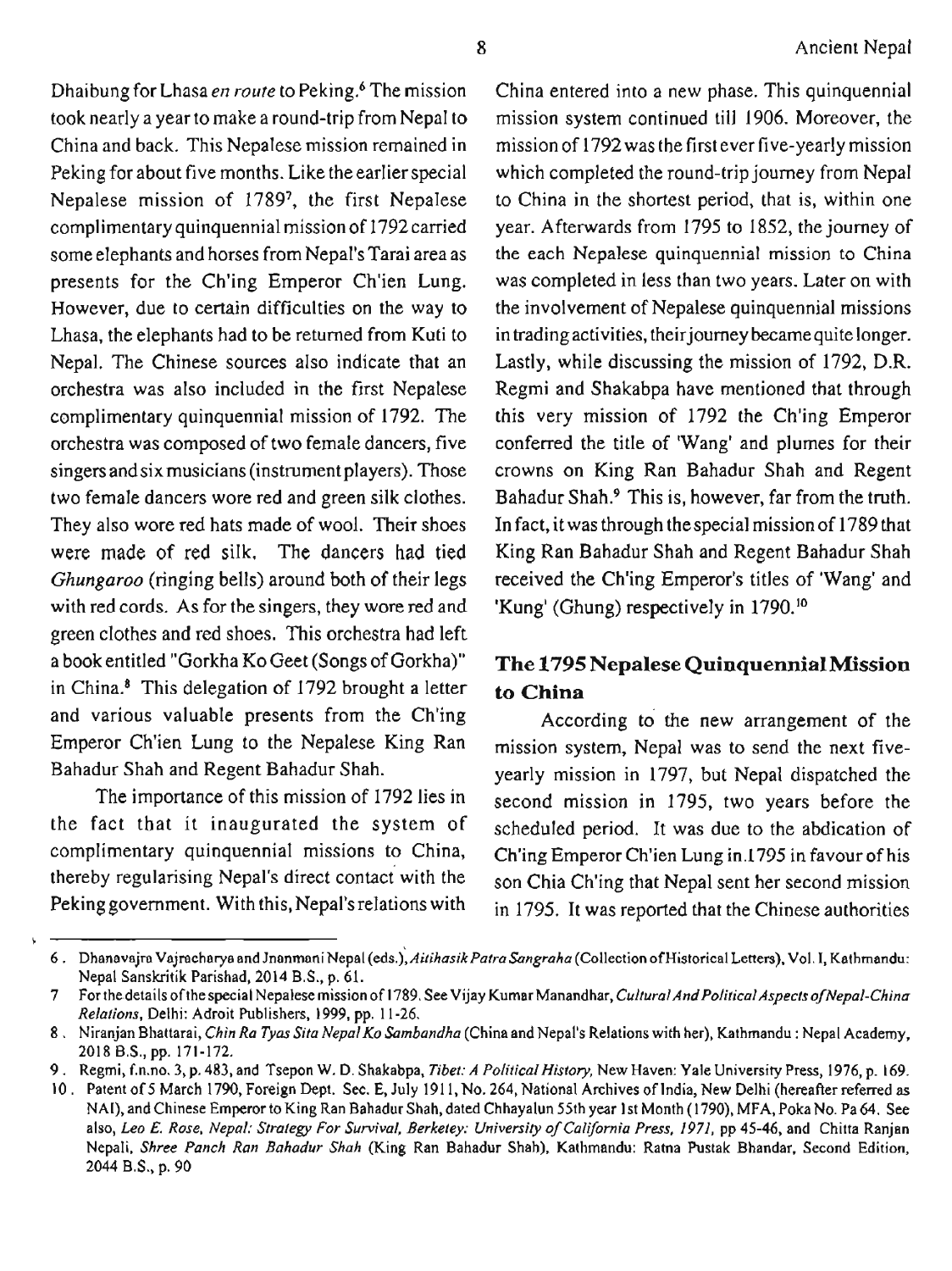Dhaibung for Lhasa *en route* to Peking.<sup>6</sup> The mission took nearly a year to make a round-trip from Nepal to China and back. This Nepalese mission remained in Peking for about five months. Like the earlier special Nepalese mission of 1789', the first Nepalese complimentary quinquennial missionof 1792carried some elephants and horses from Nepal's Tarai area as presents for the Ch'ing Emperor Ch'ien Lung. However, due to certain difficulties on the way to Lhasa, the elephants had to be returned from Kuti to Nepal. The Chinese sources also indicate that an orchestra was also included in the first Nepalese complimentary quinquennial mission of 1792. The orchestra was composed of two female dancers, five singers and six musicians (instrumentplayers). Those two female dancers wore red and green silk clothes. They also wore red hats made of wool. Their shoes were made of red silk. The dancers had tied with red cords. As for the singers, they wore red and 'Kung' (Ghung) respectively in 1790.<sup>10</sup> green clothes and red shoes. This orchestra had left a book entitled "Gorkha KO Geet (Songs of Gorkha)" in China.8 This delegation of 1792 brought a letter and various valuable presents from the Ch'ing Emperor Ch'ien Lung to the Nepalese King Ran Bahadur Shah and Regent Bahadur Shah.

The importance of this mission of 1792 lies in the fact that it inaugurated the system of complimentary quinquennial missions to China, thereby regularising Nepal's direct contact with the Peking government. With this, Nepal'srelations with

\

China entered into a new phase. This quinquennial mission system continued till 1906. Moreover, the mission of 1792 was the first ever five-yearly mission which completed the round-trip journey from Nepal to China in the shortest period, that is, within one year. Afterwards from 1795 to 1852, the journey of the each Nepalese quinquennial mission to China was completed in less than two years. Later on with the involvement of Nepalese quinquennial missions in trading activities, their journey became quite longer. Lastly, while discussing the mission of 1792, D.R. Regmi and Shakabpa have mentioned that through this very mission of 1792 the Ch'ing Emperor conferred the title of 'Wang' and plumes for their crowns on King Ran Bahadur Shah and Regent Bahadur Shah? This is, however, far from the truth. In fact, it was through the special mission of 1789 that King Ran Bahadur Shah and Regent Bahadur Shah *Ghungaroo* (ringing bells) around both of their legs received the Ch'ing Emperor's titles of 'Wang' and

## **The 1795 Nepalese Quinquennial Mission to China**

According to the new arrangement of the mission system, Nepal was to send the next fiveyearly mission in 1797, but Nepal dispatched the second mission in 1795, two years before the scheduled period. It was due to the abdication of Ch'ing Emperor Ch'ien Lung in.1795 in favour of his son Chia Ch'ing that Nepal sent her second mission in 1795. It was reported that the Chinese authorities

<sup>6.</sup> Dhanavajra Vajracharya and Jnanmani Nepal (eds.), Aitihasik Patra Sangraha (Collection of Historical Letters), Vol. I, Kathmandu: Nepal Sanskritik Parishad, 2014 B.S., p. 61.

<sup>7</sup> For the details of the special Nepalese mission of 1789. See Vijay Kumar Manandhar, *Cultural And Political Aspects of Nepal-China Relations,* Delhi: Adroit Publishers, 1999, pp. 11-26.

<sup>8</sup>. Niranjan Bhattarai, *Chin Ra Tyas Sita Nepal KoSambandha* (China and Nepal's Relations with her), Kathmandu : Nepal Academy, 2018 B.S., pp. 171-172.

<sup>9</sup>. Regmi, f.n.no. 3, p. 483, and Tsepon W. D. Shakabpa, *Tibet: A Political History,* New Haven: Yale University Press, 1976, p. 169.

<sup>10</sup>. Patent of 5 March 1790, Foreign Dept. Sec. E, July 191 1, No. 264, National Archives of India, New Delhi (hereafier referred as NAI), and Chinese Emperor to King Ran Bahadur Shah, dated Chhayalun 55th year 1st Month (1790). MFA, Poka No. Pa **64.** See also, Leo E. Rose, Nepal: Strategy For Survival, Berketey: University of California Press, 1971, pp 45-46, and Chitta Ranjan Nepali, *Shree Punch Ran Bahadur Shah* (King Ran Bahadur Shah), Kathmandu: Ratna Pustak Bhandar, Second Edition, 2044 B.S., p. 90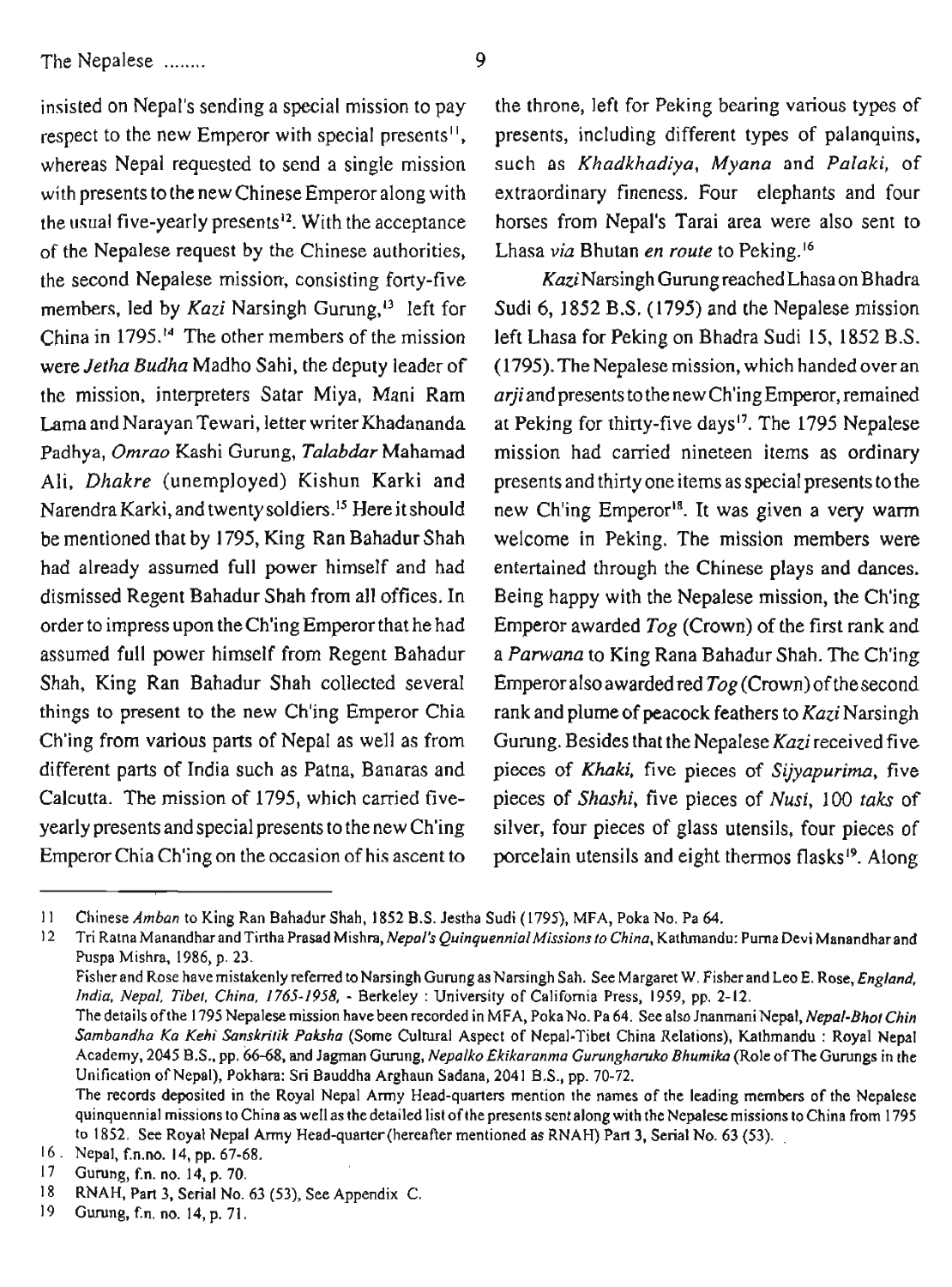The Nepalese ........ 9

of the Nepalese request by the Chinese authorities, Lhasa *via* Bhutan *en route* to Peking.16 the second Nepalese mission, consisting forty-five  $Kazi$ Narsingh Gurung reached Lhasa on Bhadra China in 1795.14 The other members of the mission left Lhasa for Peking on Bhadra Sudi 15, 1852 B.S. Lama and Narayan Tewari, letter writer Khadananda at Peking for thirty-five days<sup>17</sup>. The 1795 Nepalese had already assumed full power himself and had entertained through the Chinese plays and dances. Shah, King Ran Bahadur Shah collected several Emperor also awarded red *Tog* (Crown) of the second things to present to the new Ch'ing Emperor Chia rank and plume of peacock feathers to *Kazi* Narsingh Ch'ing from various parts of Nepal as well as from Gurung. Besides that the Nepalese *Kazi* received five different parts of India such as Patna, Banaras and pieces of *Khaki,* five pieces of *Sijyapurima,* five

insisted on Nepal's sending a special mission to pay the throne, left for Peking bearing various types of respect to the new Emperor with special presents<sup>11</sup>, presents, including different types of palanquins, whereas Nepal requested to send a single mission such as *Khadkhadiya, Myana* and *Palaki,* of with presents to the new Chinese Emperor along with extraordinary fineness. Four elephants and four the usual five-yearly presents12. With the acceptance horses from Nepal's Tarai area were also sent to

members, led by *Kazi* Narsingh Gurung,<sup>13</sup> left for Sudi 6, 1852 B.S. (1795) and the Nepalese mission were *Jetha Budha* Madho Sahi, the deputy leader of (1795). The Nepalese mission, which handed over an the mission, interpreters Satar Miya, Mani Ram **arjiandpresentstothenewCh'ingEmperor,remained**  Padhya, *Omrao* Kashi Gurung, *Talabdar* Mahamad mission had carried nineteen items as ordinary Ali, *Dhakre* (unemployed) Kishun Karki and presents and thirty one items asspecial presents tothe Narendra Karki, and twenty soldiers.<sup>15</sup> Here it should new Ch'ing Emperor<sup>18</sup>. It was given a very warm be mentioned that by 1795, King Ran Bahadur Shah welcome in Peking. The mission members were dismissed Regent Bahadur Shah from all offices. In Being happy with the Nepalese mission, the Ch'ing order to impress upon the Ch'ing Emperor that he had Emperor awarded *Tog* (Crown) of the first rank and assumed full power himself from Regent Bahadur a *Panvana* to King Rana Bahadur Shah. The Ch'ing Calcutta. The mission of 1795, which carried five- pieces of *Shashi,* five pieces of *Nusi,* 100 *taks* of yearly presents and special presents to the new Ch'ing silver, four pieces of glass utensils, four pieces of Emperor Chia Ch'ing on the occasion of his ascent to porcelain utensils and eight thermos flasks<sup>19</sup>. Along

Fisher and Rose have mistakenly referred to Narsingh Gurung as Narsingh Sah. See Margaret W. Fisher and Leo E. Rose, *England*, *India, Nepal, Tibet, China, 1765-1958,* - Berkeley : University of California Press, 1959, pp. 2-12.

 $11$ Chinese *Amban* to King Ran Bahadur Shah, 1852 B.S. Jestha Sudi (1795), MFA, Poka No. Pa 64.

 $12$ Tri Ratna Manandhar and Tirtha Prasad Mishra, *Nepal's Quinquennial Missions to China*, Kathmandu: Purna Devi Manandhar and Puspa Mishra, 1986, p. 23.

The details of the 1795 Nepalese mission have been recorded in MFA, Poka No. Pa 64. See also Jnanmani Nepal, *Nepal-Bhot Chin Sambandha Ka Kehi Sanskritik Paksha* (Some Cultural Aspect of Nepal-Tibet China Relations), Kathmandu : Royal Nepal Academy, 2045 B.S., pp. 66-68, and Jagman Gurung, *Nepalko Ekikaranma Gurunghanrko Bhumika* (Role ofThe Gurungs in the Unification of Nepal), Pokhara: Sri Bauddha Arghaun Sadana, 2041 B.S., pp. 70-72.

The records deposited in the Royal Nepal Army Head-quarters mention the names of the leading members of the Nepalese quinquennial missions toChina as well as the detailed list ofthe presents sent along with the Nepalesemissions to China from 1795 to 1852. See Royal Nepal Army Head-quarter (hereafter mentioned as RNAH) Part 3, Serial No. 63 (53).

Nepal, f.n.no. 14, pp. 67-68.

 $17$ Gumng, f.n. no. 14, p. 70.

<sup>18</sup> RNAH, Part 3, Serial No. 63 (53), See Appendix C.

<sup>19</sup> Gumng, f.n. no. 14. p. 71.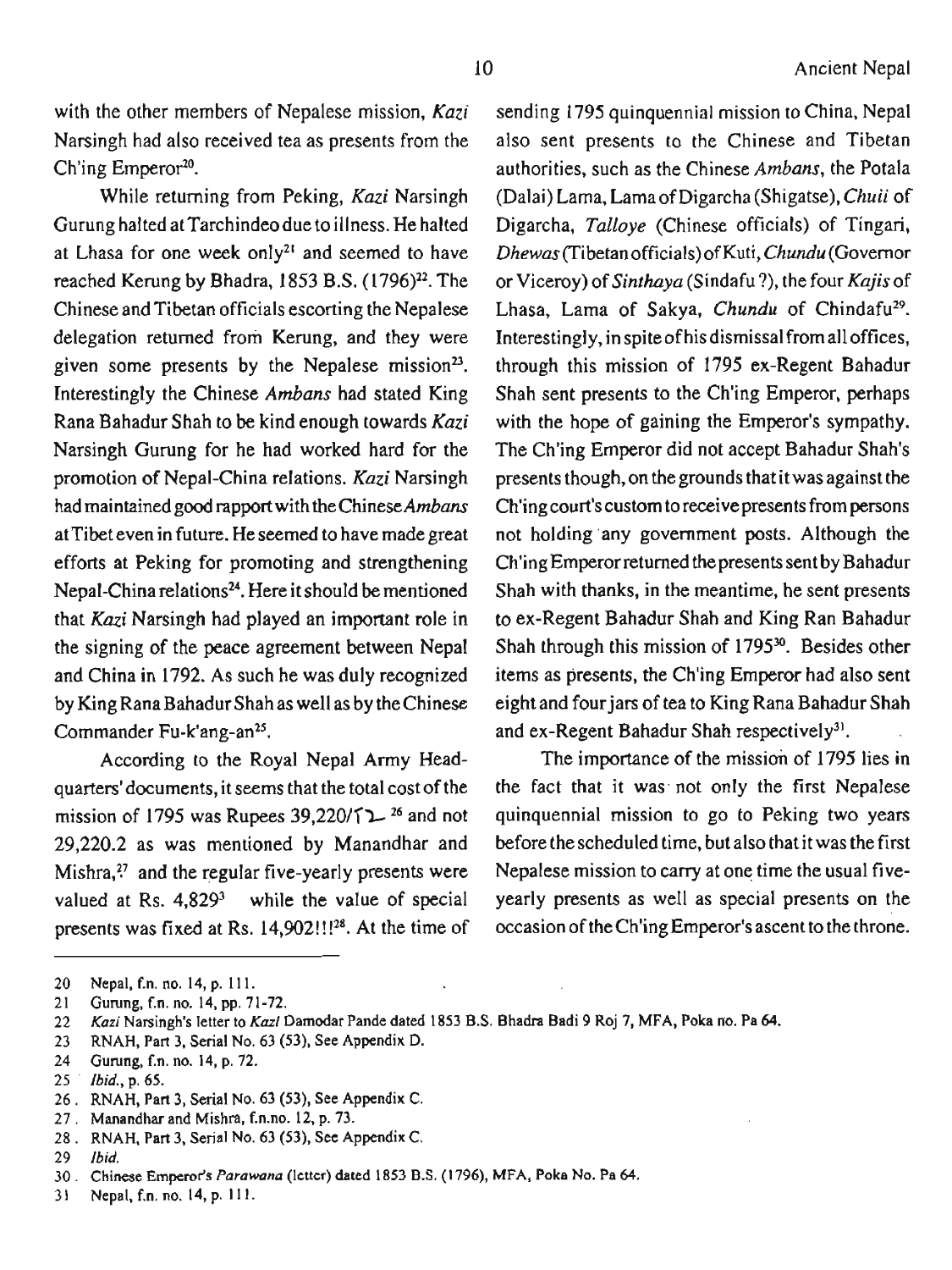with the other members of Nepalese mission,  $Kazi$  sending 1795 quinquennial mission to China, Nepal Narsingh had also received tea as presents from the Ch'ing Emperor<sup>20</sup>.

While returning from Peking, Kazi Narsingh Gurung halted at Tarchindeodue to illness. He halted at Lhasa for one week only2' and seemed to have reached Kerung by Bhadra, 1853 B.S. (1796)<sup>22</sup>. The Chinese and Tibetan officials escorting the Nepalese delegation returned from Kerung, and they were given some presents by the Nepalese mission $2^3$ . Interestingly the Chinese Ambans had stated King Rana Bahadur Shah to be kind enough towards Kazi Narsingh Gurung for he had worked hard for the promotion of Nepal-China relations. Kazi Narsingh had maintained good rapport with the Chinese Ambans at Tibet even in future. He seemed to have made great efforts at Peking for promoting and strengthening Nepal-China relations<sup>24</sup>. Here it should be mentioned that Kazi Narsingh had played an important role in the signing of the peace agreement between Nepal and China in 1792. As such he was duly recognized by King Rana Bahadur Shah as well as by the Chinese Commander Fu-k'ang-an<sup>25</sup>.

According to the Royal Nepal Army Headquarters'documents, it seems that the total cost of the mission of 1795 was Rupees  $39,220$   $\uparrow$   $\uparrow$   $\uparrow$   $\uparrow$  and not 29,220.2 as was mentioned by Manandhar and Mishra,?' and the regular five-yearly presents were valued at Rs.  $4,829<sup>3</sup>$  while the value of special presents was fixed at Rs. 14,902!!!28. At the time of also sent presents to the Chinese and Tibetan authorities, such as the Chinese Ambans, the Potala (Dalai) Lama, Lama of Digarcha (Shigatse), Chuii of Digarcha, Talloye (Chinese officials) of Tingari, Dhewas(Tibetan officials) of Kuti, Chundu (Governor or Viceroy) of Sinthaya (Sindafu ?), the four Kajis of Lhasa, Lama of Sakya, Chundu of Chindafu<sup>29</sup>. Interestingly, in spite of his dismissal from all offices, through this mission of 1795 ex-Regent Bahadur Shah sent presents to the Ch'ing Emperor, perhaps with the hope of gaining the Emperor's sympathy. The Ch'ing Emperor did not accept Bahadur Shah's presents though, on thegrounds that it was against the Ch'ing court's custom to receive presents from persons not holding any government posts. Although the Ch'ing Emperor returned the presents sent by Bahadur Shah with thanks, in the meantime, he sent presents to ex-Regent Bahadur Shah and King Ran Bahadur Shah through this mission of 1795<sup>30</sup>. Besides other items as presents, the Ch'ing Emperor had also sent eight and fourjars of tea to King Rana Bahadur Shah and ex-Regent Bahadur Shah respectively<sup>31</sup>.

The importance of the mission of 1795 lies in the fact that it was not only the first Nepalese quinquennial mission to go to Peking two years before the scheduled time, but also that it was the first Nepalese mission to cany at one time the usual fiveyearly presents as well as special presents on the occasion of the Ch'ing Emperor's ascent to the throne.

<sup>20</sup> **Nepal, En. no. 14, p. 1 1 1.** 

<sup>21</sup> **Gurung, f.n. no. 14, pp. 71-72.** 

**Kazi Narsingh's letter to Kazi Damodar Pande dated 1853 B.S. Bhadra Badi 9 Roj 7, MFA, Poka no. Pa 64.**  22

<sup>23</sup> **RNAH, Part 3, Serial No. 63 (53), See Appendix D.** 

<sup>24</sup> **Gurung, f.n. no. 14, p. 72.** 

 $25<sup>2</sup>$ *Ibid.,* **p. 65.** 

**RNAH, Part 3, Serial No. 63 (53), See Appendix C.** 

**Manandhar and Mishra, f.n.no. 12, p. 73.** 

**RNAH, Part 3, Serial No. 63 (53), See Appendix C.** 

<sup>29</sup> *Ibid.* 

**Chinese Emperor's Parawana (letter) dated 1853 B.S. (1796), MFA, Poka No. Pa 64.** 

**Nepal, f.n. no. 14, p. 1 11.** 31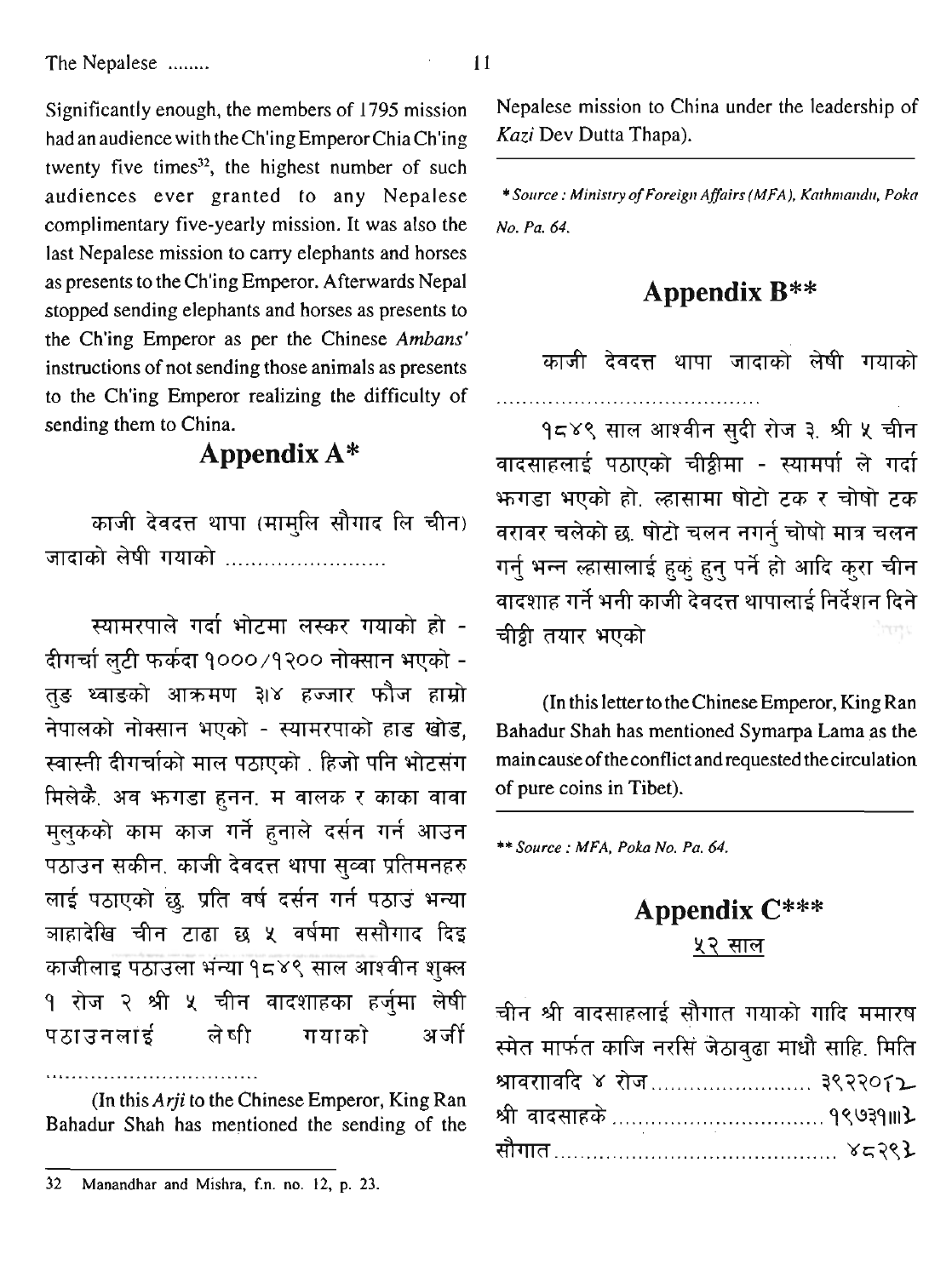Significantly enough, the members of 1795 mission had an audience with the Ch'ing Emperor Chia Ch'ing twenty five times $32$ , the highest number of such audiences ever granted to any Nepalese complimentary five-yearly mission. It was also the last Nepalese mission to carry elephants and horses as presents to the Ch'ing Emperor. Afterwards Nepal stopped sending elephants and horses as presents to the Ch'ing Emperor as per the Chinese *Ambans'*  instructions of not sending those animals as presents to the Ch'ing Emperor realizing the difficulty of sending them to China.

# **Appendix A\***

काजी देवदत्त थापा (मामुलि सौगाद लि चीन) जादाको लेषी गयाको ........................

स्यामरपाले गर्दा भोटमा लस्कर गयाको हो -दीगर्चा लटी फर्कदा १०००/१२०० नोक्सान भएको -तङ थ्वाङको आक्रमण ३।४ हज्जार फौज हाम्रो नेपालको नोक्सान भएको - स्यामरपाको हाड खोड, स्वास्नी दीगर्चाको माल पठाएको . हिजो पनि भोटसंग मिलेकै. अव भगाडा हुनन. म वालक र काका वावा मुलुकको काम काज गर्ने हुनाले दर्सन गर्न आउन पठाउन सकीन, काजी देवदत्त थापा सव्वा प्रतिमनहरु लाई पठाएको छ, प्रति वर्ष दर्सन गर्न पठाउ भन्या ञाहादेखि चीन टाढा छ ५ वर्षमा ससौगाद दिइ काजीलाइ पठाउला भंन्या १८४९ साल आश्वीन शुक्ल **१ रोज २ श्री ५ चीन वादशाहका हर्जुमा लेषी** पठाउनलाई ले षी गयाको अर्जी

(In this **Arji** to the Chinese Emperor, King Ran Bahadur Shah has mentioned the sending of the

.................................

--

Nepalese mission to China under the leadership of **Kazi** Dev Dutta Thapa).

\* **Solrrce** : **Mbtistty of Foreigr~ Affairs (MFA), Kathnlandu, Pokn No. Pa. 64.** 

## **Appendix B\*\***

काजी देवदत्त थापा जादाको लेषी गयाको

१८४९ साल आश्वीन सुदी रोज ३. श्री ५ चीन वादसाहलाई पठाएको चीथ्लीमा - स्यामर्पा ले गर्दा भ्रुगड़ा भएको हो, ल्हासामा षोटो टक र चोषो टक वरावर चलेको छ, षोटो चलन नगर्न चोषो मात्र चलन गर्न भन्न ल्हासालाई हक हुन पर्ने हो आदि कुरा चीन वादशाह गर्ने भनी काजी देवदत्त थापालाई निर्देशन दिने चीथ्री तयार भएको

(In this letter to the Chinese Emperor, King Ran Bahadur Shah has mentioned Symarpa Lama as the main cause of the conflict and requested thecirculation of pure coins in Tibet).

\*\* **Source** : **MFA, Poka No. Pa. 64.** 

# **Appendix C\*\*\***  ४२ साल

चीन श्री वादसाहलाई सौगात गयाको गादि ममारष स्मेत मार्फत काजि नरसिं जेठाबुढा माधौ साहि. मिति श्रावराावदि ४ रोज ........................... ३९२२०६2 सौगात………………………………… ४८२९**}** 

**<sup>32</sup>** Manandhar and Mishra, f.n. no. 12, p. 23.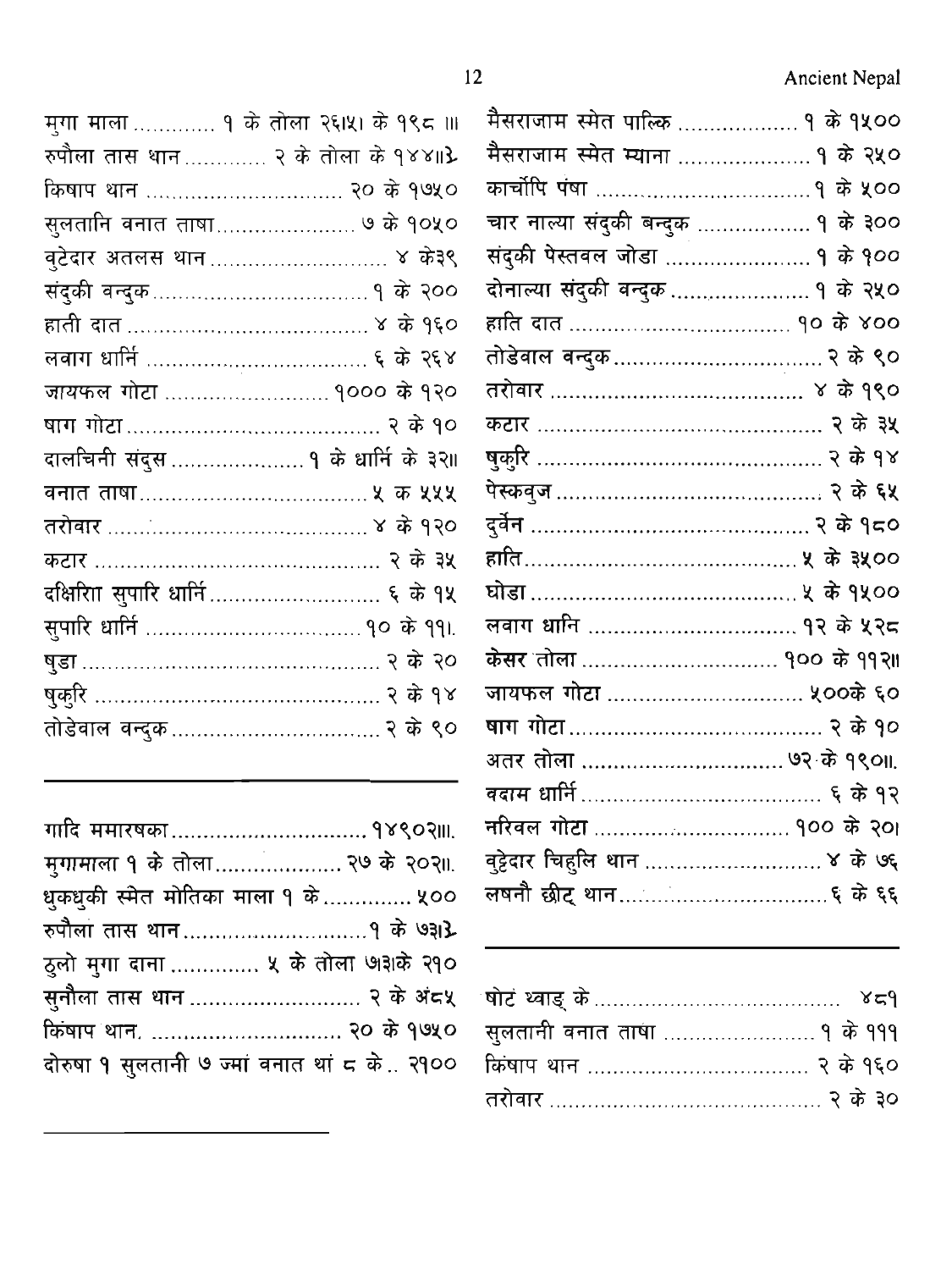Ancient Nepal

| मुगा माला  १ के तोला २६।५। के १९८ ॥। |  |
|--------------------------------------|--|
| रुपौला तास थान २ के तोला के १४४॥}    |  |
| किषाप थान  २० के १७५०                |  |
| सुलतानि वनात ताषा ७ के १०५०          |  |
| वुटेदार अतलस थान……………………… ४ के३९     |  |
|                                      |  |
|                                      |  |
|                                      |  |
| जायफल गोटा  १००० के १२०              |  |
|                                      |  |
| दालचिनी संदुस  १ के धार्नि के ३२॥    |  |
|                                      |  |
|                                      |  |
|                                      |  |
|                                      |  |
|                                      |  |
|                                      |  |
|                                      |  |
|                                      |  |
|                                      |  |

| गादि ममारषका  १४९०२॥।.                      |  |
|---------------------------------------------|--|
| मुगामाला १ के तोला २७ के २०२॥.              |  |
| धुकधुकी स्मेत मोतिका माला १ के  ५००         |  |
|                                             |  |
| ठुलो मुगा दाना  ५ के तोला ७१३१के २१०        |  |
| सुनौला तास थान  २ के अंदर्थ                 |  |
| किषाप थान.  २० के १७५०                      |  |
| दोरुषा १ सुलतानी ७ ज्मां वनात थां ८ के २१०० |  |

| मैसराजाम स्मेत पाल्कि  १ के १५००   |  |
|------------------------------------|--|
|                                    |  |
| मैसराजाम स्मेत म्याना  १ के २५०    |  |
|                                    |  |
| चार नाल्या संदुकी बन्दुक  १ के ३०० |  |
| संदुकी पेस्तवल जोडा  १ के १००      |  |
| दोनाल्या संदुकी बन्दुक  १ के २५०   |  |
|                                    |  |
|                                    |  |
|                                    |  |
|                                    |  |
|                                    |  |
|                                    |  |
|                                    |  |
|                                    |  |
|                                    |  |
|                                    |  |
| केसर तोला  १०० के ११२॥             |  |
| जायफल गोटा  ५००के ६०               |  |
|                                    |  |
| अतर तोला  ७२ के १९०॥.              |  |
|                                    |  |
| नरिवल गोटा  १०० के २०।             |  |
| वुट्टेदार चिहुलि थान  ४ के ७६      |  |
|                                    |  |
|                                    |  |

| सुलतानी बनात ताषा  १ के १११ |  |
|-----------------------------|--|
|                             |  |
|                             |  |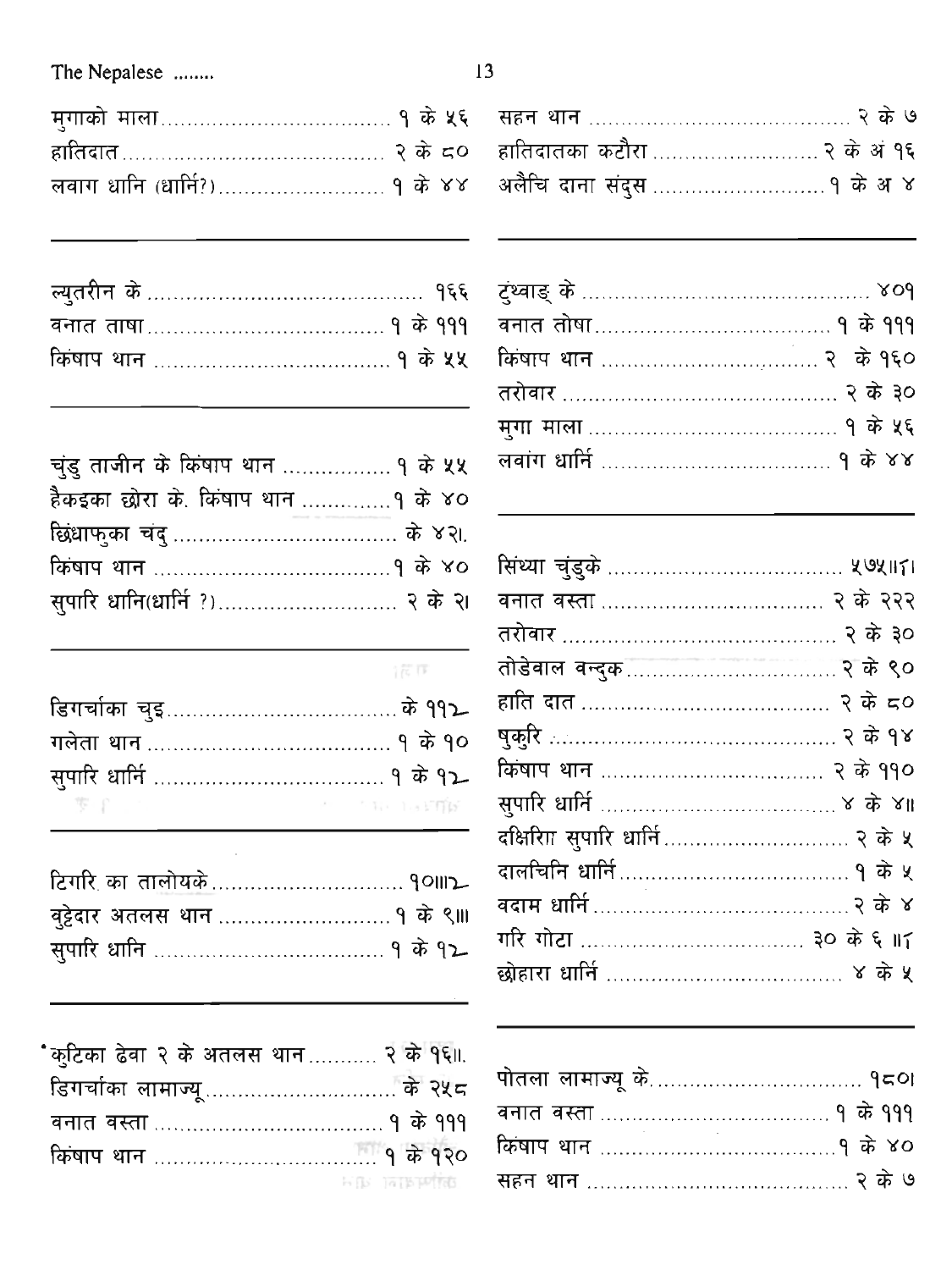# The Nepalese .......

| चुंडु ताजीन के किंषाप थान  १ के ५५ |  |
|------------------------------------|--|
| हैकइका छोरा के. किषाप थान १ के ४०  |  |
|                                    |  |
|                                    |  |
| सुपारि धानि(धार्नि ?) २ के २।      |  |

| œ. |  |
|----|--|
|    |  |
|    |  |

| やくすい アイティー・コーヒー アート・アール いちがい かいしょう いっぱ はない |  |
|--------------------------------------------|--|

| "कुटिका ढेवा २ के अतलस थान २ के १६॥. |                        |
|--------------------------------------|------------------------|
|                                      |                        |
|                                      |                        |
|                                      |                        |
|                                      | <b>FIRE DATE PRIME</b> |

| २ के द्र0 |
|-----------|
|           |
|           |
|           |
|           |
|           |
|           |
|           |
|           |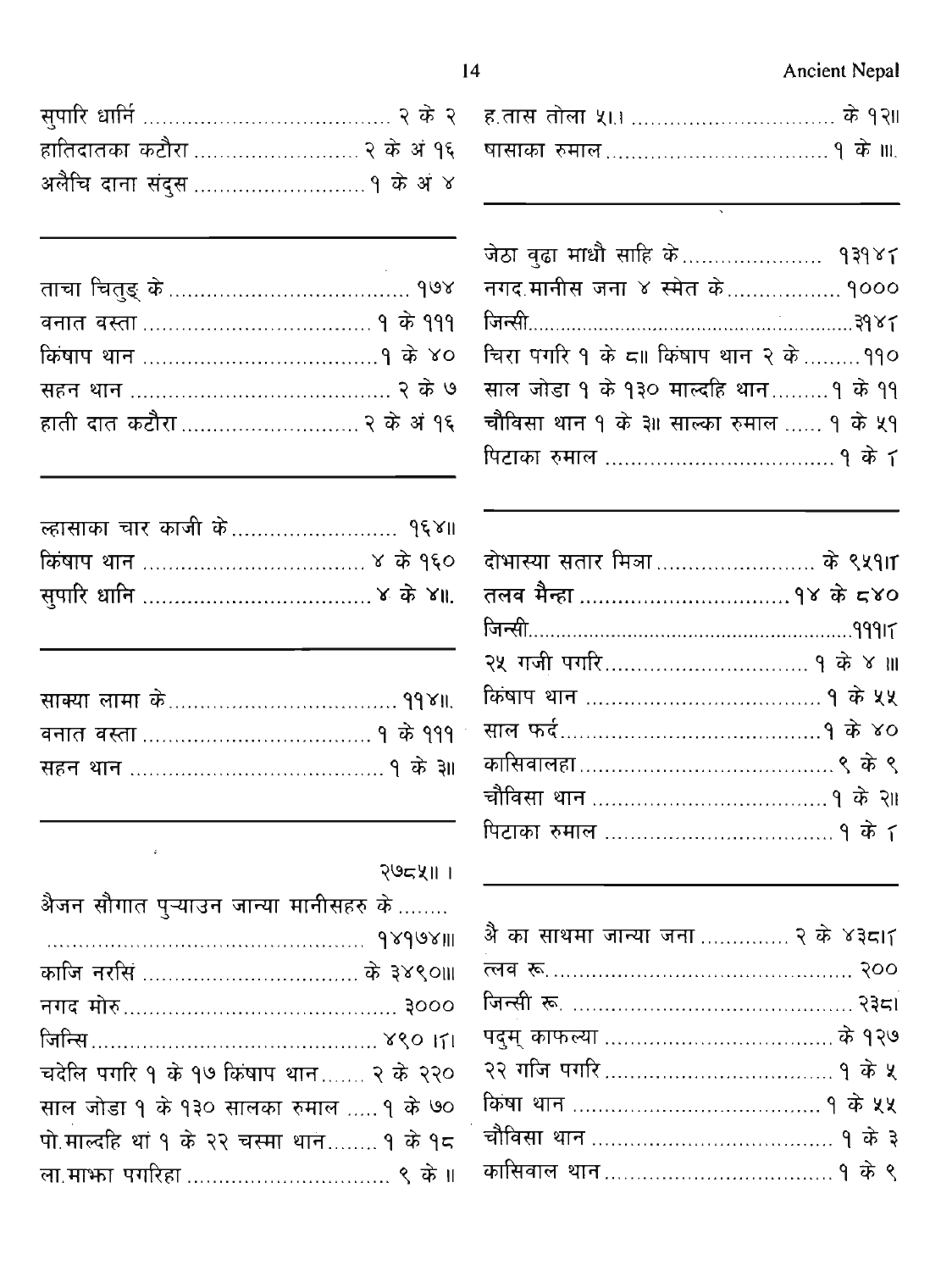# **Ancient Nepal**

| हातिदातका कटौरा  २ के अं १६ |  |
|-----------------------------|--|
|                             |  |

| ह.तास तोला ५।।  के १२॥ |  |
|------------------------|--|
|                        |  |

l,

 $\overline{\phantom{0}}$ 

| जेठा वुढा माधौ साहि के १३१४८             |  |
|------------------------------------------|--|
| नगद.मानीस जना ४ स्मेत के १०००            |  |
|                                          |  |
| चिरा पगरि १ के द्रा किषाप थान २ के ११०   |  |
| साल जोड़ा १ के १३० मार्ल्वाह थान १ के ११ |  |
| चौविसा थान १ के ३॥ साल्का रुमाल  १ के ५१ |  |
|                                          |  |

 $\sim$ 

| दोभास्या सतार मित्रा के ९५१।٢ |  |
|-------------------------------|--|
|                               |  |
|                               |  |
|                               |  |
|                               |  |
|                               |  |
|                               |  |
|                               |  |
|                               |  |

| अै का साथमा जान्या जना  २ के ४३८।7 |
|------------------------------------|
|                                    |
|                                    |
|                                    |
|                                    |
|                                    |
|                                    |
| कासिवाल थान…………………………… १ के ९      |

| २७८५॥ | ı |
|-------|---|
|       |   |

| अैजन सौगात पुऱ्याउन जान्या मानीसहरु के   |  |
|------------------------------------------|--|
| 18998911 2000                            |  |
| काजि नरसिं  के ३४९०॥।                    |  |
|                                          |  |
|                                          |  |
| चदेलि पगरि १ के १७ किषाप थान २ के २२०    |  |
| साल जोड़ा १ के १३० सालका रुमाल  १ के ७०  |  |
| पो.माल्दहि थां १ के २२ चस्मा थान १ के १८ |  |
|                                          |  |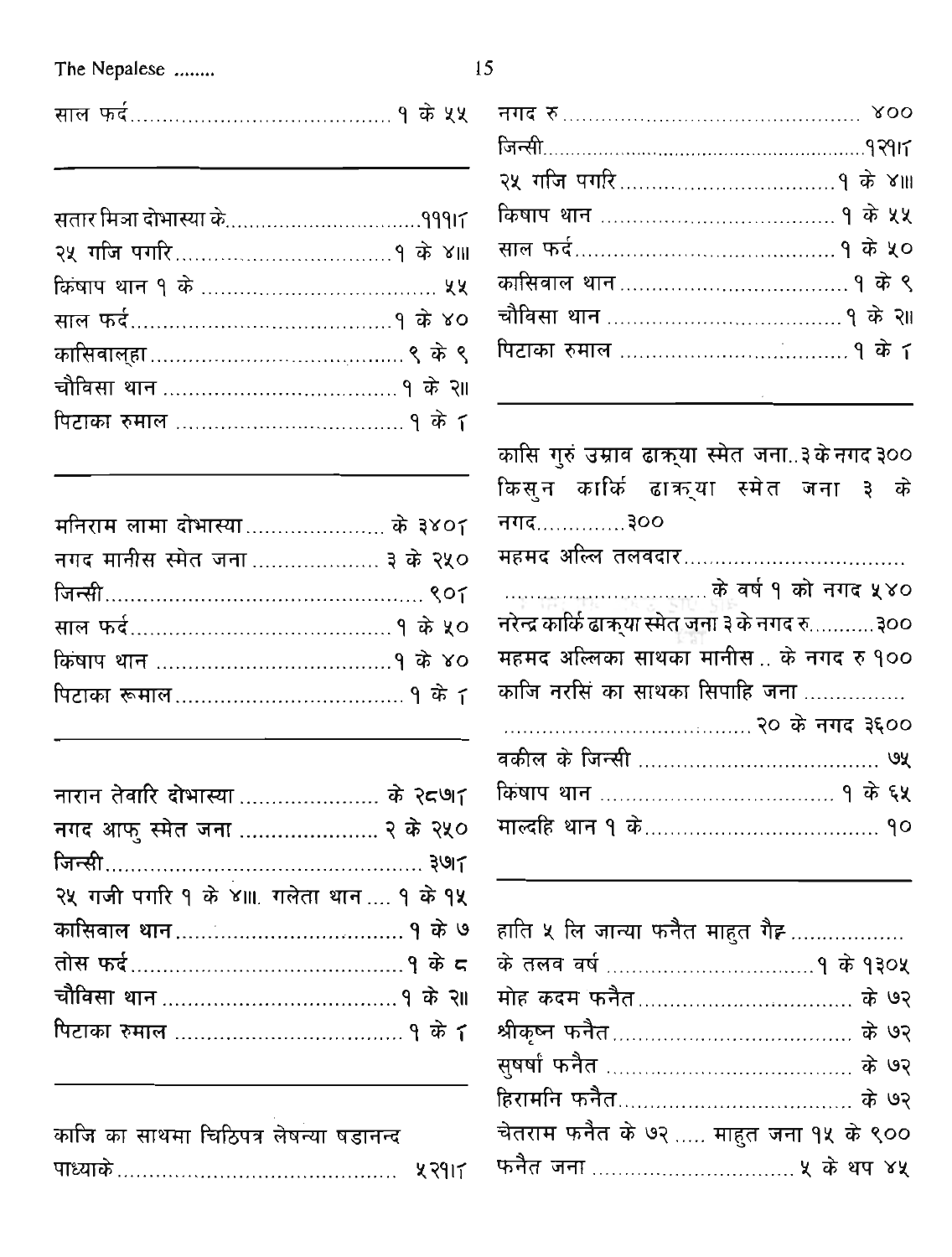#### The Nepalese .......

|--|--|--|--|--|

| मनिराम लामा दोभास्या के ३४०८  |  |
|-------------------------------|--|
| नगद मानीस स्मेत जना  ३ के २५० |  |
|                               |  |
|                               |  |
|                               |  |
|                               |  |

| नारान तेवारि दोभास्या  के २८७ा         |  |
|----------------------------------------|--|
| नगद आफु स्मेत जना  २ के २५०            |  |
|                                        |  |
| २५ गजी पगरि १ के ४॥ गलेता थान  १ के १५ |  |
| कासिवाल थान…………………………… १ के ७          |  |
|                                        |  |
|                                        |  |
|                                        |  |
|                                        |  |

| काजि का साथमा चिठिपत्र लेषन्या षडानन्द |  |
|----------------------------------------|--|
|                                        |  |

| नगद रु……………………………………… ४००     |  |
|-------------------------------|--|
|                               |  |
|                               |  |
|                               |  |
|                               |  |
| कासिवाल थान…………………………… १ के ९ |  |
|                               |  |
|                               |  |
|                               |  |

कासि गुरुं उम्राव ढाक्र्या स्मेत जना..३केनगद ३०० किसून कार्कि ढाकुया स्मेत जना ३ के नगद <u>1000 जन्म</u> ................................... के वर्ष १ को नगद ५४० नरेन्द्र कार्कि ढाकुया स्मेत जना ३ के नगद रु...........३०० महमद अल्लिका साथका मानीस… के नगद रु १०० काजि नरसिं का साथका सिपाहि जना 

| हाति ५ लि जान्या फनैत माहुत गैह        |  |
|----------------------------------------|--|
|                                        |  |
|                                        |  |
|                                        |  |
|                                        |  |
| हिरामनि फनैत……………………………… के ७२         |  |
| चेतराम फनैत के ७२  माहुत जना १५ के ९०० |  |
|                                        |  |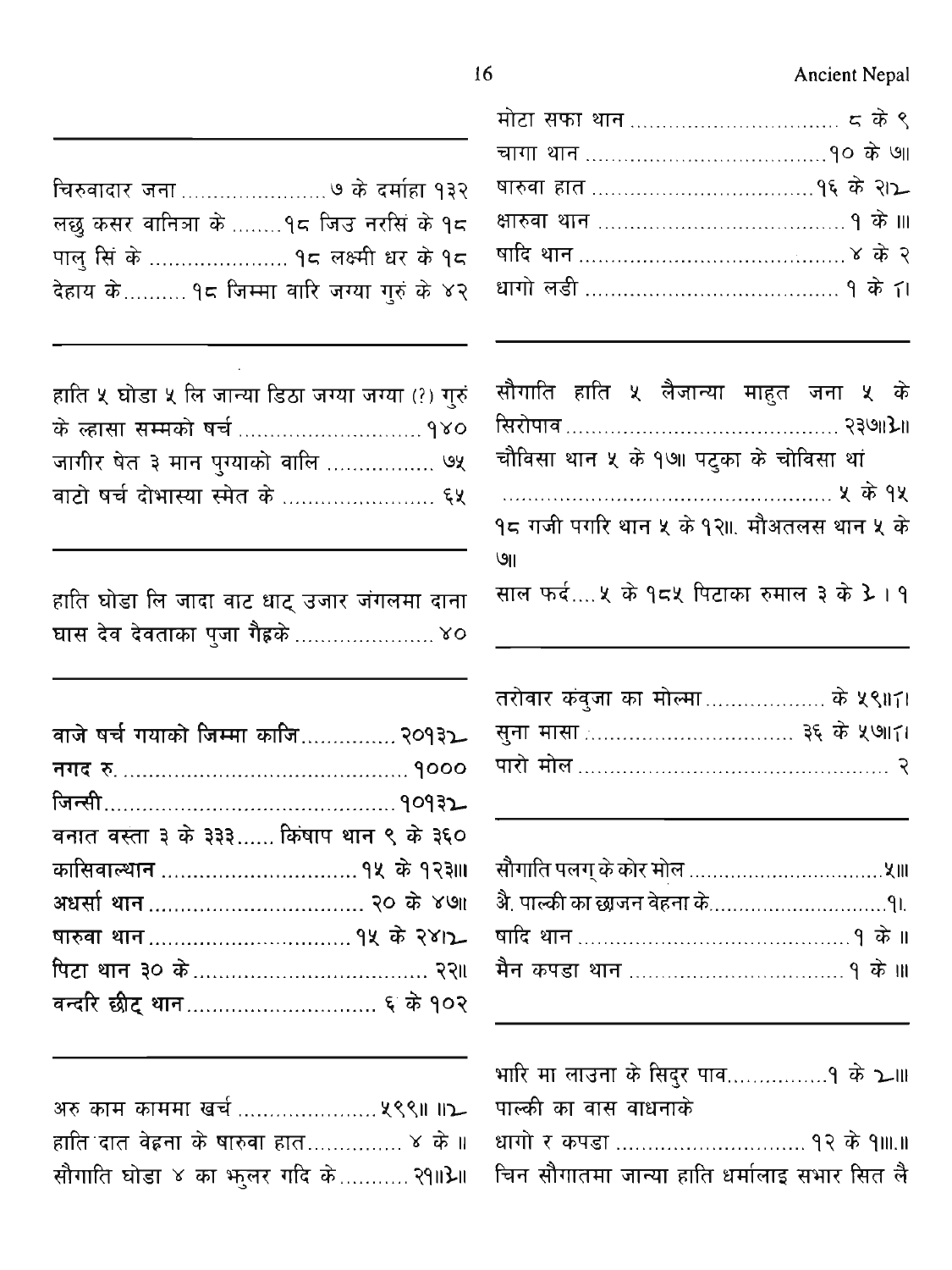**Ancient Nepal** 

|                                           |  | सौगाति हाति ५ लैजान्या माहुत जना ५ के |  |  |
|-------------------------------------------|--|---------------------------------------|--|--|
|                                           |  |                                       |  |  |
| चौविसा थान ५ के १७॥ पट्का के चोविसा थां   |  |                                       |  |  |
|                                           |  |                                       |  |  |
| १८ गजी पगरि थान ५ के १२॥. मौअतलस थान ५ के |  |                                       |  |  |
| ७॥                                        |  |                                       |  |  |
| साल फर्द ५ के १८५ पिटाका रुमाल ३ के 3 1 १ |  |                                       |  |  |
|                                           |  |                                       |  |  |

| तरोबार कंबुजा का मोल्मा……………… के ५९॥४। |  |  |
|----------------------------------------|--|--|
|                                        |  |  |
|                                        |  |  |

| भारि मा लाउना के सिदुर पाव१ के ১ ॥           |  |
|----------------------------------------------|--|
| पाल्की का वास वाधनाके                        |  |
| धागो र कपडा  १२ के १॥.॥                      |  |
| चिन सौगातमा जान्या हाति धर्मालाइ सभार सित लै |  |

चिरुवादार जना ......................... ७ के दर्माहा १३२ लछु कसर वानित्रा के ........१८ जिउ नरसिं के १८ पालु सिं के ...................... १८ लक्ष्मी धर के १८ देहाय के.......... १८ जिम्मा वारि जग्या गुरुं के ४२

| हाति ५ घोडा ५ लि जान्या डिठा जग्या जग्या (?) गुरुं |  |
|----------------------------------------------------|--|
|                                                    |  |
| जागीर षेत ३ मान पुग्याको वालि  ७५                  |  |
|                                                    |  |

हाति घोडा लि जादा वाट धाट् उजार जंगलमा दाना घास देव देवताका पुजा गैहके ....................... ४०

| वाजे षर्च गयाको जिम्मा काजि २०१३2      |  |
|----------------------------------------|--|
|                                        |  |
|                                        |  |
| वनात वस्ता ३ के ३३३ किषाप थान ९ के ३६० |  |
|                                        |  |
|                                        |  |
|                                        |  |
|                                        |  |
|                                        |  |
|                                        |  |

| हाति दात वेह्रना के षारुवा हात ४ के ॥ |  |
|---------------------------------------|--|
| सौगाति घोडा ४ का भुलर गदि के २१॥}॥    |  |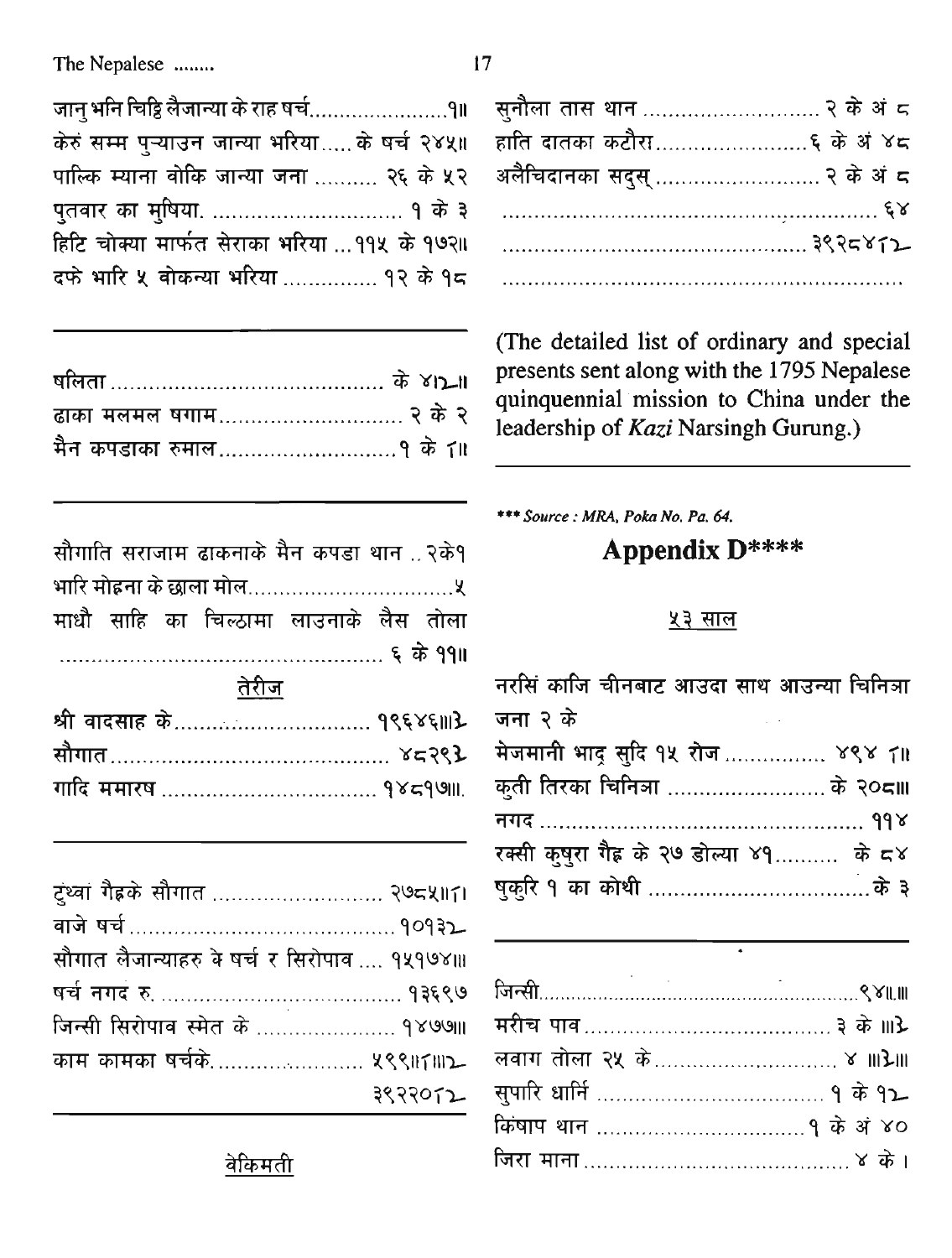केरुं सम्म पुऱ्याउन जान्या भरिया.....के षर्च २४५॥ पाल्कि म्याना वोकि जान्या जना ......... २६ के ५२ हिटि चोक्या मार्फत सेराका भरिया ... ११५ के १७२॥ दफे भारि ५ वोकन्या भरिया ............... १२ के १८

| ढाका मलमल षगाम २ के २ |  |  |
|-----------------------|--|--|
|                       |  |  |

| सौगाति सराजाम ढाकनाके मैन कपडा थान २के१ |  |  |  |
|-----------------------------------------|--|--|--|
|                                         |  |  |  |
| माधौ साहि का चिल्ठामा लाउनाके लैस तोला  |  |  |  |
|                                         |  |  |  |
| <u>तेरीज</u>                            |  |  |  |

| सौगात………………………………… ४८२९ <b>३</b> |  |
|----------------------------------|--|
|                                  |  |

| ट्थ्वां गैह्रके सौगात  २७८५॥८।               |         |
|----------------------------------------------|---------|
|                                              |         |
| सौगात लैजान्याहरु के षर्च र सिरोपाव  १५१७४॥। |         |
|                                              |         |
| जिन्सी सिरोपाव स्मेत के  १४७७॥               |         |
| काम कामका षर्चके ५९९॥८॥१                     |         |
|                                              | ३९२२०८२ |

| ्स् <b>नौला तास थान ……………………… २ के अं</b> ८ |  |
|---------------------------------------------|--|
| हाति दातका कटौरा६ के अं ४८                  |  |
| अलैचिदानका सदुस्  २ के अं ८                 |  |
|                                             |  |
|                                             |  |
|                                             |  |

(The detailed list of ordinary and special presents sent along with the 1795 Nepalese quinquennial mission to China under the leadership of Kazi Narsingh Gurung.)

\*\*\* Source : MRA, Poka No. Pa. 64.

# **Appendix D\*\*\*\***

#### <u> १३ साल</u>

| नरसिं काजि चीनबाट आउदा साथ आउन्या चिनिञा      |
|-----------------------------------------------|
| जना २ के<br>and the state of the state of the |
| मेजमानी भाद् सुदि १५ रोज  ४९४ 7॥              |
| कुती तिरका चिनित्रा  के २०८॥।                 |
|                                               |
| रक्सी कुषुरा गैह के २७ डोल्या ४१ के ८४        |
|                                               |

| लवाग तोला २५ के ४ ॥।}॥। |  |
|-------------------------|--|
|                         |  |
|                         |  |
|                         |  |

 $\ddot{\phantom{a}}$